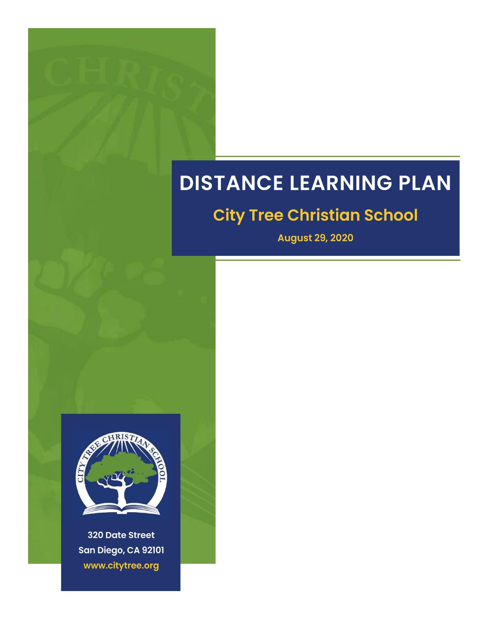# **DISTANCE LEARNING PLAN**

## **City Tree Christian School**

**August 29, 2020** 



**320 Date Street** San Diego, CA 92101 www.citytree.org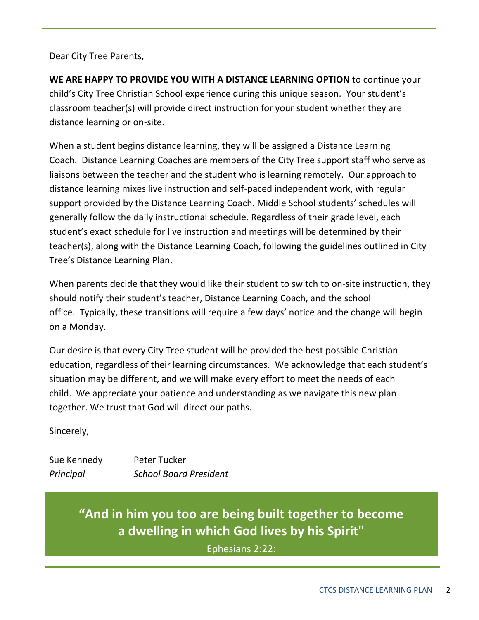Dear City Tree Parents,

**WE ARE HAPPY TO PROVIDE YOU WITH A DISTANCE LEARNING OPTION** to continue your child's City Tree Christian School experience during this unique season. Your student's classroom teacher(s) will provide direct instruction for your student whether they are distance learning or on-site.

When a student begins distance learning, they will be assigned a Distance Learning Coach. Distance Learning Coaches are members of the City Tree support staff who serve as liaisons between the teacher and the student who is learning remotely. Our approach to distance learning mixes live instruction and self-paced independent work, with regular support provided by the Distance Learning Coach. Middle School students' schedules will generally follow the daily instructional schedule. Regardless of their grade level, each student's exact schedule for live instruction and meetings will be determined by their teacher(s), along with the Distance Learning Coach, following the guidelines outlined in City Tree's Distance Learning Plan.

When parents decide that they would like their student to switch to on-site instruction, they should notify their student's teacher, Distance Learning Coach, and the school office. Typically, these transitions will require a few days' notice and the change will begin on a Monday.

Our desire is that every City Tree student will be provided the best possible Christian education, regardless of their learning circumstances. We acknowledge that each student's situation may be different, and we will make every effort to meet the needs of each child. We appreciate your patience and understanding as we navigate this new plan together. We trust that God will direct our paths.

Sincerely,

Sue Kennedy Peter Tucker *Principal School Board President*

> **"And in him you too are being built together to become a dwelling in which God lives by his Spirit"**

> > Ephesians 2:22: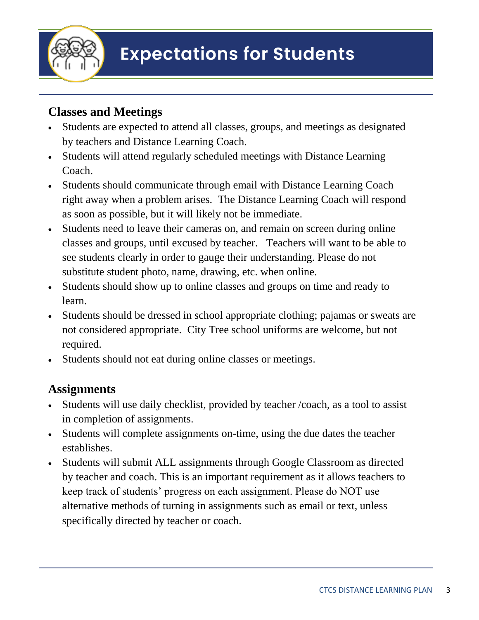

#### **Classes and Meetings**

- Students are expected to attend all classes, groups, and meetings as designated by teachers and Distance Learning Coach.
- Students will attend regularly scheduled meetings with Distance Learning Coach.
- Students should communicate through email with Distance Learning Coach right away when a problem arises. The Distance Learning Coach will respond as soon as possible, but it will likely not be immediate.
- Students need to leave their cameras on, and remain on screen during online classes and groups, until excused by teacher. Teachers will want to be able to see students clearly in order to gauge their understanding. Please do not substitute student photo, name, drawing, etc. when online.
- Students should show up to online classes and groups on time and ready to learn.
- Students should be dressed in school appropriate clothing; pajamas or sweats are not considered appropriate. City Tree school uniforms are welcome, but not required.
- Students should not eat during online classes or meetings.

#### **Assignments**

- Students will use daily checklist, provided by teacher /coach, as a tool to assist in completion of assignments.
- Students will complete assignments on-time, using the due dates the teacher establishes.
- Students will submit ALL assignments through Google Classroom as directed by teacher and coach. This is an important requirement as it allows teachers to keep track of students' progress on each assignment. Please do NOT use alternative methods of turning in assignments such as email or text, unless specifically directed by teacher or coach.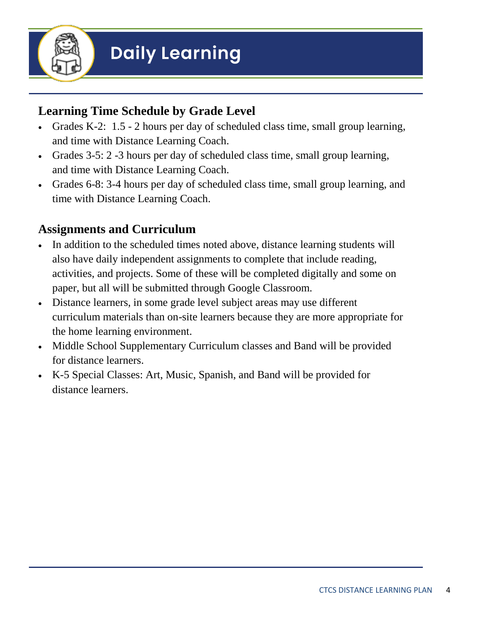

#### **Learning Time Schedule by Grade Level**

- Grades K-2: 1.5 2 hours per day of scheduled class time, small group learning, and time with Distance Learning Coach.
- Grades 3-5: 2 -3 hours per day of scheduled class time, small group learning, and time with Distance Learning Coach.
- Grades 6-8: 3-4 hours per day of scheduled class time, small group learning, and time with Distance Learning Coach.

#### **Assignments and Curriculum**

- In addition to the scheduled times noted above, distance learning students will also have daily independent assignments to complete that include reading, activities, and projects. Some of these will be completed digitally and some on paper, but all will be submitted through Google Classroom.
- Distance learners, in some grade level subject areas may use different curriculum materials than on-site learners because they are more appropriate for the home learning environment.
- Middle School Supplementary Curriculum classes and Band will be provided for distance learners.
- K-5 Special Classes: Art, Music, Spanish, and Band will be provided for distance learners.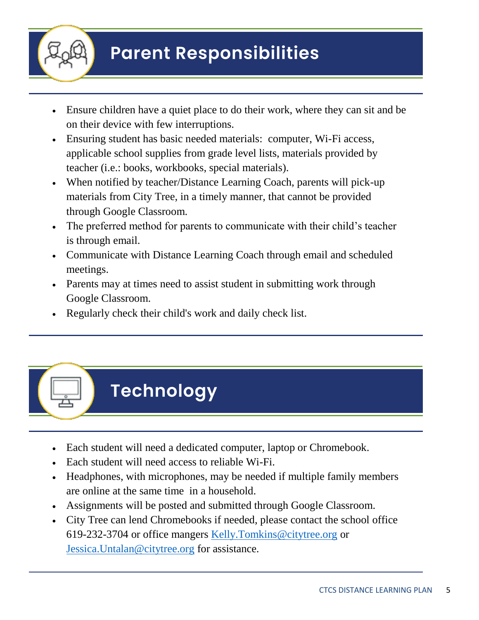

# **Parent Responsibilities**

- Ensure children have a quiet place to do their work, where they can sit and be on their device with few interruptions.
- Ensuring student has basic needed materials: computer, Wi-Fi access, applicable school supplies from grade level lists, materials provided by teacher (i.e.: books, workbooks, special materials).
- When notified by teacher/Distance Learning Coach, parents will pick-up materials from City Tree, in a timely manner, that cannot be provided through Google Classroom.
- The preferred method for parents to communicate with their child's teacher is through email.
- Communicate with Distance Learning Coach through email and scheduled meetings.
- Parents may at times need to assist student in submitting work through Google Classroom.
- Regularly check their child's work and daily check list.



- Each student will need a dedicated computer, laptop or Chromebook.
- Each student will need access to reliable Wi-Fi.
- Headphones, with microphones, may be needed if multiple family members are online at the same time in a household.
- Assignments will be posted and submitted through Google Classroom.
- City Tree can lend Chromebooks if needed, please contact the school office 619-232-3704 or office mangers Kelly.Tomkins@citytree.org or Jessica.Untalan@citytree.org for assistance.